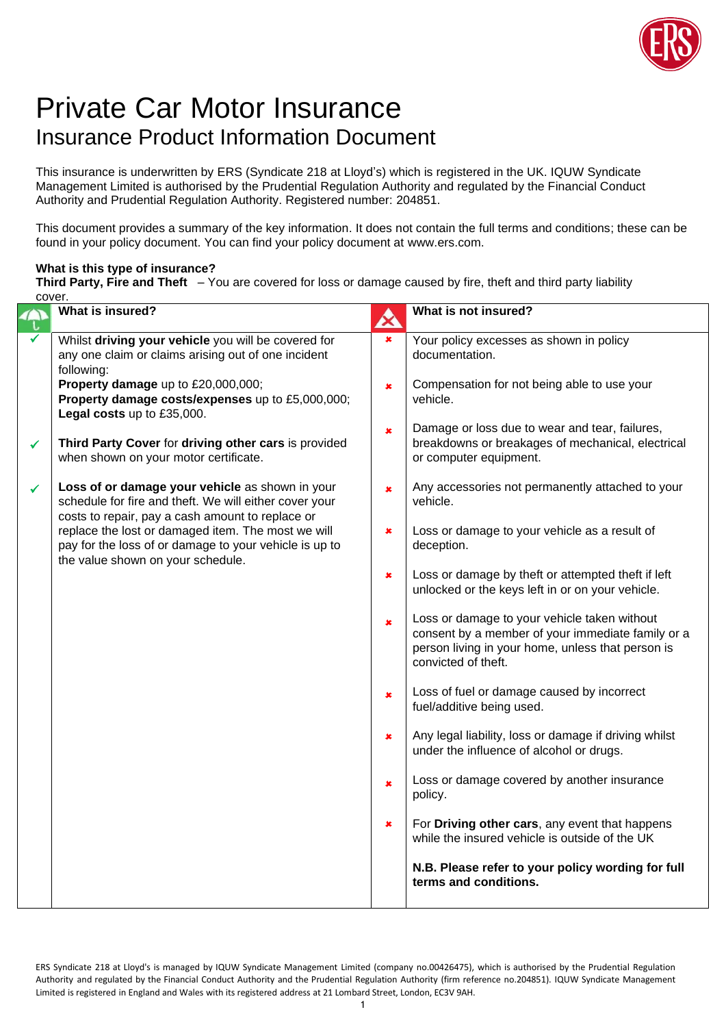

## Private Car Motor Insurance Insurance Product Information Document

This insurance is underwritten by ERS (Syndicate 218 at Lloyd's) which is registered in the UK. IQUW Syndicate Management Limited is authorised by the Prudential Regulation Authority and regulated by the Financial Conduct Authority and Prudential Regulation Authority. Registered number: 204851.

This document provides a summary of the key information. It does not contain the full terms and conditions; these can be found in your policy document. You can find your policy document at www.ers.com.

## **What is this type of insurance?**

**Third Party, Fire and Theft** – You are covered for loss or damage caused by fire, theft and third party liability cover

|   | What is insured?                                                                                                                                                                                      | A              | What is not insured?                                                                                                                                                          |
|---|-------------------------------------------------------------------------------------------------------------------------------------------------------------------------------------------------------|----------------|-------------------------------------------------------------------------------------------------------------------------------------------------------------------------------|
|   | Whilst driving your vehicle you will be covered for<br>any one claim or claims arising out of one incident<br>following:                                                                              | $\pmb{\times}$ | Your policy excesses as shown in policy<br>documentation.                                                                                                                     |
|   | Property damage up to £20,000,000;<br>Property damage costs/expenses up to £5,000,000;<br>Legal costs up to £35,000.                                                                                  | $\pmb{\times}$ | Compensation for not being able to use your<br>vehicle.                                                                                                                       |
| ✓ | Third Party Cover for driving other cars is provided<br>when shown on your motor certificate.                                                                                                         | $\pmb{\times}$ | Damage or loss due to wear and tear, failures,<br>breakdowns or breakages of mechanical, electrical<br>or computer equipment.                                                 |
| ✓ | Loss of or damage your vehicle as shown in your<br>schedule for fire and theft. We will either cover your                                                                                             | $\mathbf x$    | Any accessories not permanently attached to your<br>vehicle.                                                                                                                  |
|   | costs to repair, pay a cash amount to replace or<br>replace the lost or damaged item. The most we will<br>pay for the loss of or damage to your vehicle is up to<br>the value shown on your schedule. | $\pmb{x}$      | Loss or damage to your vehicle as a result of<br>deception.                                                                                                                   |
|   |                                                                                                                                                                                                       | $\pmb{\times}$ | Loss or damage by theft or attempted theft if left<br>unlocked or the keys left in or on your vehicle.                                                                        |
|   |                                                                                                                                                                                                       | $\pmb{x}$      | Loss or damage to your vehicle taken without<br>consent by a member of your immediate family or a<br>person living in your home, unless that person is<br>convicted of theft. |
|   |                                                                                                                                                                                                       | $\pmb{x}$      | Loss of fuel or damage caused by incorrect<br>fuel/additive being used.                                                                                                       |
|   |                                                                                                                                                                                                       | $\pmb{x}$      | Any legal liability, loss or damage if driving whilst<br>under the influence of alcohol or drugs.                                                                             |
|   |                                                                                                                                                                                                       | $\pmb{\times}$ | Loss or damage covered by another insurance<br>policy.                                                                                                                        |
|   |                                                                                                                                                                                                       | ×              | For Driving other cars, any event that happens<br>while the insured vehicle is outside of the UK                                                                              |
|   |                                                                                                                                                                                                       |                | N.B. Please refer to your policy wording for full<br>terms and conditions.                                                                                                    |